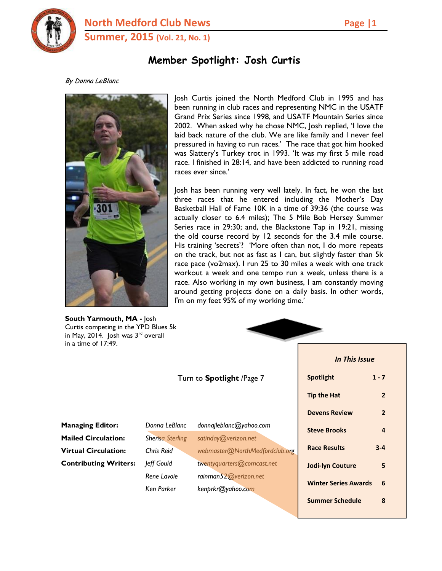

**North Medford Club News Page 11 Summer, 2015 (Vol. 21, No. 1)**

# **Member Spotlight: Josh Curtis**

#### By Donna LeBlanc



**South Yarmouth, MA -** Josh Curtis competing in the YPD Blues 5k in May, 2014. Josh was 3<sup>rd</sup> overall in a time of 17:49.

Josh Curtis joined the North Medford Club in 1995 and has been running in club races and representing NMC in the USATF Grand Prix Series since 1998, and USATF Mountain Series since 2002. When asked why he chose NMC, Josh replied, 'I love the laid back nature of the club. We are like family and I never feel pressured in having to run races.' The race that got him hooked was Slattery's Turkey trot in 1993. 'It was my first 5 mile road race. I finished in 28:14, and have been addicted to running road races ever since.'

Josh has been running very well lately. In fact, he won the last three races that he entered including the Mother's Day Basketball Hall of Fame 10K in a time of 39:36 (the course was actually closer to 6.4 miles); The 5 Mile Bob Hersey Summer Series race in 29:30; and, the Blackstone Tap in 19:21, missing the old course record by 12 seconds for the 3.4 mile course. His training 'secrets'? 'More often than not, I do more repeats on the track, but not as fast as I can, but slightly faster than 5k race pace (vo2max). I run 25 to 30 miles a week with one track workout a week and one tempo run a week, unless there is a race. Also working in my own business, I am constantly moving around getting projects done on a daily basis. In other words, I'm on my feet 95% of my working time.'

| in May, 2014. Josh was $3rd$ overall<br>in a time of $17:49$ . |                         |                                |                             |                |  |
|----------------------------------------------------------------|-------------------------|--------------------------------|-----------------------------|----------------|--|
|                                                                |                         |                                | <b>In This Issue</b>        |                |  |
|                                                                |                         | Turn to Spotlight /Page 7      | <b>Spotlight</b>            | $1 - 7$        |  |
|                                                                |                         |                                | <b>Tip the Hat</b>          | $\overline{2}$ |  |
|                                                                |                         |                                | <b>Devens Review</b>        | $\overline{2}$ |  |
| <b>Managing Editor:</b>                                        | Donna LeBlanc           | donnajleblanc@yahoo.com        | <b>Steve Brooks</b>         | $\overline{4}$ |  |
| <b>Mailed Circulation:</b>                                     | <b>Sherisa Sterling</b> | satinday@verizon.net           |                             |                |  |
| <b>Virtual Circulation:</b>                                    | Chris Reid              | webmaster@NorthMedfordclub.org | <b>Race Results</b>         | $3 - 4$        |  |
| <b>Contributing Writers:</b>                                   | Jeff Gould              | twentyquarters@comcast.net     | <b>Jodi-lyn Couture</b>     | 5              |  |
|                                                                | Rene Lavoie             | rainman52@verizon.net          |                             |                |  |
|                                                                | Ken Parker              | kenprkr@yahoo.com              | <b>Winter Series Awards</b> | 6              |  |
|                                                                |                         |                                | <b>Summer Schedule</b>      | 8              |  |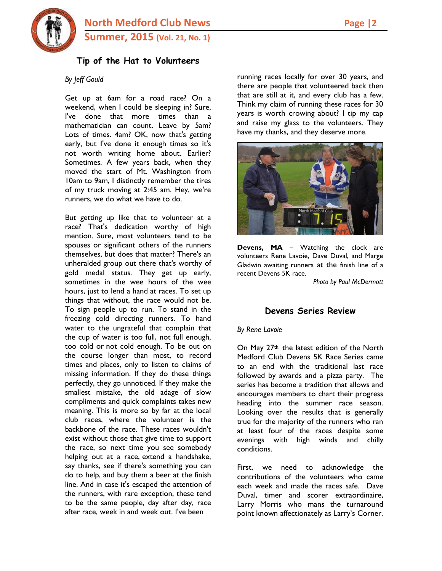

## **Tip of the Hat to Volunteers**

#### *By Jeff Gould*

Get up at 6am for a road race? On a weekend, when I could be sleeping in? Sure, I've done that more times than a mathematician can count. Leave by 5am? Lots of times. 4am? OK, now that's getting early, but I've done it enough times so it's not worth writing home about. Earlier? Sometimes. A few years back, when they moved the start of Mt. Washington from 10am to 9am, I distinctly remember the tires of my truck moving at 2:45 am. Hey, we're runners, we do what we have to do.

But getting up like that to volunteer at a race? That's dedication worthy of high mention. Sure, most volunteers tend to be spouses or significant others of the runners themselves, but does that matter? There's an unheralded group out there that's worthy of gold medal status. They get up early, sometimes in the wee hours of the wee hours, just to lend a hand at races. To set up things that without, the race would not be. To sign people up to run. To stand in the freezing cold directing runners. To hand water to the ungrateful that complain that the cup of water is too full, not full enough, too cold or not cold enough. To be out on the course longer than most, to record times and places, only to listen to claims of missing information. If they do these things perfectly, they go unnoticed. If they make the smallest mistake, the old adage of slow compliments and quick complaints takes new meaning. This is more so by far at the local club races, where the volunteer is the backbone of the race. These races wouldn't exist without those that give time to support the race, so next time you see somebody helping out at a race, extend a handshake, say thanks, see if there's something you can do to help, and buy them a beer at the finish line. And in case it's escaped the attention of the runners, with rare exception, these tend to be the same people, day after day, race after race, week in and week out. I've been

running races locally for over 30 years, and there are people that volunteered back then that are still at it, and every club has a few. Think my claim of running these races for 30 years is worth crowing about? I tip my cap and raise my glass to the volunteers. They have my thanks, and they deserve more.



**Devens, MA** – Watching the clock are volunteers Rene Lavoie, Dave Duval, and Marge Gladwin awaiting runners at the finish line of a recent Devens 5K race.

*Photo by Paul McDermott*

### **Devens Series Review**

*By Rene Lavoie*

On May 27th, the latest edition of the North Medford Club Devens 5K Race Series came to an end with the traditional last race followed by awards and a pizza party. The series has become a tradition that allows and encourages members to chart their progress heading into the summer race season. Looking over the results that is generally true for the majority of the runners who ran at least four of the races despite some evenings with high winds and chilly conditions.

First, we need to acknowledge the contributions of the volunteers who came each week and made the races safe. Dave Duval, timer and scorer extraordinaire, Larry Morris who mans the turnaround point known affectionately as Larry's Corner.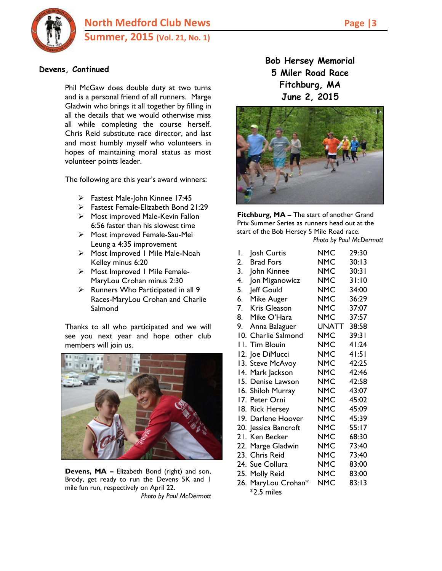

## **Devens, Continued**

Phil McGaw does double duty at two turns and is a personal friend of all runners. Marge Gladwin who brings it all together by filling in all the details that we would otherwise miss all while completing the course herself. Chris Reid substitute race director, and last and most humbly myself who volunteers in hopes of maintaining moral status as most volunteer points leader.

The following are this year's award winners:

- Fastest Male-John Kinnee 17:45
- Fastest Female-Elizabeth Bond 21:29
- $\triangleright$  Most improved Male-Kevin Fallon 6:56 faster than his slowest time
- Most improved Female-Sau-Mei Leung a 4:35 improvement
- Most Improved 1 Mile Male-Noah Kelley minus 6:20
- > Most Improved I Mile Female-MaryLou Crohan minus 2:30
- $\triangleright$  Runners Who Participated in all 9 Races-MaryLou Crohan and Charlie **Salmond**

Thanks to all who participated and we will see you next year and hope other club members will join us.



**Devens, MA –** Elizabeth Bond (right) and son, Brody, get ready to run the Devens 5K and 1 mile fun run, respectively on April 22. *Photo by Paul McDermott* **Bob Hersey Memorial 5 Miler Road Race Fitchburg, MA June 2, 2015**



**Fitchburg, MA –** The start of another Grand Prix Summer Series as runners head out at the start of the Bob Hersey 5 Mile Road race. *Photo by Paul McDermott*

| Ι. | Josh Curtis          | NMC        | 29:30 |
|----|----------------------|------------|-------|
| 2. | <b>Brad Fors</b>     | <b>NMC</b> | 30:13 |
| 3. | John Kinnee          | <b>NMC</b> | 30:31 |
| 4. | Jon Miganowicz       | <b>NMC</b> | 31:10 |
| 5. | Jeff Gould           | <b>NMC</b> | 34:00 |
| 6. | Mike Auger           | <b>NMC</b> | 36:29 |
| 7. | Kris Gleason         | NMC        | 37:07 |
| 8. | Mike O'Hara          | <b>NMC</b> | 37:57 |
| 9. | Anna Balaguer        | UNATT      | 38:58 |
|    | 10. Charlie Salmond  | NMC        | 39:31 |
|    | II. Tim Blouin       | <b>NMC</b> | 41:24 |
|    | 12. Joe DiMucci      | <b>NMC</b> | 41:51 |
|    | 13. Steve McAvoy     | <b>NMC</b> | 42:25 |
|    | 14. Mark Jackson     | <b>NMC</b> | 42:46 |
|    | 15. Denise Lawson    | NMC        | 42:58 |
|    | 16. Shiloh Murray    | <b>NMC</b> | 43:07 |
|    | 17. Peter Orni       | <b>NMC</b> | 45:02 |
|    | 18. Rick Hersey      | NMC        | 45:09 |
|    | 19. Darlene Hoover   | <b>NMC</b> | 45:39 |
|    | 20. Jessica Bancroft | <b>NMC</b> | 55:17 |
|    | 21. Ken Becker       | <b>NMC</b> | 68:30 |
|    | 22. Marge Gladwin    | <b>NMC</b> | 73:40 |
|    | 23. Chris Reid       | NMC        | 73:40 |
|    | 24. Sue Collura      | <b>NMC</b> | 83:00 |
|    | 25. Molly Reid       | <b>NMC</b> | 83:00 |
|    | 26. MaryLou Crohan*  | NMC        | 83:13 |
|    | *2.5 miles           |            |       |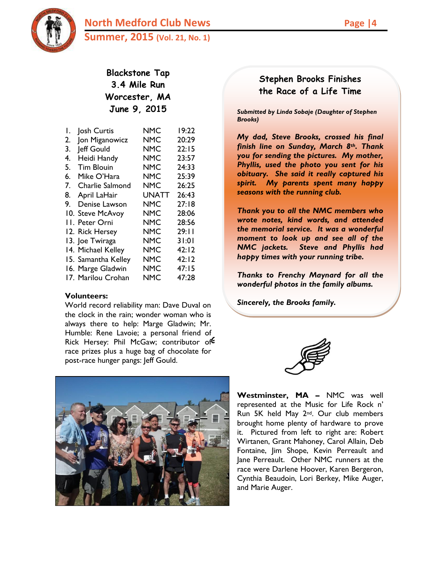**North Medford Club News Page 14 Summer, 2015 (Vol. 21, No. 1)**



## **Blackstone Tap 3.4 Mile Run Worcester, MA June 9, 2015**

| Ι. | Josh Curtis         | NMC        | 19:22 |
|----|---------------------|------------|-------|
| 2. | Jon Miganowicz      | <b>NMC</b> | 20:29 |
| 3. | Jeff Gould          | <b>NMC</b> | 22:15 |
| 4. | Heidi Handy         | NMC        | 23:57 |
| 5. | <b>Tim Blouin</b>   | NMC        | 24:33 |
| 6. | Mike O'Hara         | <b>NMC</b> | 25:39 |
| 7. | Charlie Salmond     | <b>NMC</b> | 26:25 |
| 8. | April LaHair        | UNATT      | 26:43 |
| 9. | Denise Lawson       | <b>NMC</b> | 27:18 |
|    | 10. Steve McAvoy    | NMC        | 28:06 |
|    | II. Peter Orni      | NMC        | 28:56 |
|    | 12. Rick Hersey     | NMC        | 29:11 |
|    | 13. Joe Twiraga     | <b>NMC</b> | 31:01 |
|    | 14. Michael Kelley  | <b>NMC</b> | 42:12 |
|    | 15. Samantha Kelley | <b>NMC</b> | 42:12 |
|    | 16. Marge Gladwin   | <b>NMC</b> | 47:15 |
|    | 17. Marilou Crohan  | NMC        | 47:28 |

#### **Volunteers:**

World record reliability man: Dave Duval on the clock in the rain; wonder woman who is always there to help: Marge Gladwin; Mr. Humble: Rene Lavoie; a personal friend of Rick Hersey: Phil McGaw; contributor of race prizes plus a huge bag of chocolate for post-race hunger pangs: Jeff Gould.



# **Stephen Brooks Finishes the Race of a Life Time**

*Submitted by Linda Sobaje (Daughter of Stephen Brooks)*

*My dad, Steve Brooks, crossed his final finish line on Sunday, March 8th. Thank you for sending the pictures. My mother, Phyllis, used the photo you sent for his obituary. She said it really captured his spirit. My parents spent many happy seasons with the running club.* 

*Thank you to all the NMC members who wrote notes, kind words, and attended the memorial service. It was a wonderful moment to look up and see all of the NMC jackets. Steve and Phyllis had happy times with your running tribe.*

*Thanks to Frenchy Maynard for all the wonderful photos in the family albums.* 

*Sincerely, the Brooks family.* 



**Westminster, MA –** NMC was well represented at the Music for Life Rock n' Run 5K held May 2nd. Our club members brought home plenty of hardware to prove it. Pictured from left to right are: Robert Wirtanen, Grant Mahoney, Carol Allain, Deb Fontaine, Jim Shope, Kevin Perreault and Jane Perreault. Other NMC runners at the race were Darlene Hoover, Karen Bergeron, Cynthia Beaudoin, Lori Berkey, Mike Auger, and Marie Auger.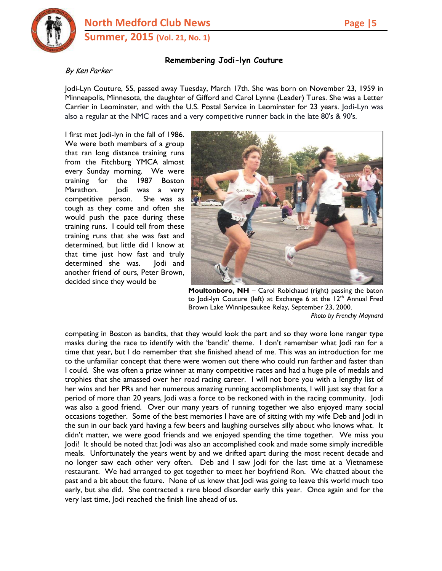

### **Remembering Jodi-lyn Couture**

#### By Ken Parker

Jodi-Lyn Couture, 55, passed away Tuesday, March 17th. She was born on November 23, 1959 in Minneapolis, Minnesota, the daughter of Gifford and Carol Lynne (Leader) Tures. She was a Letter Carrier in Leominster, and with the U.S. Postal Service in Leominster for 23 years. Jodi-Lyn was also a regular at the NMC races and a very competitive runner back in the late 80's & 90's.

I first met Jodi-lyn in the fall of 1986. We were both members of a group that ran long distance training runs from the Fitchburg YMCA almost every Sunday morning. We were training for the 1987 Boston Marathon. Jodi was a very competitive person. She was as tough as they come and often she would push the pace during these training runs. I could tell from these training runs that she was fast and determined, but little did I know at that time just how fast and truly determined she was. Jodi and another friend of ours, Peter Brown, decided since they would be



**Moultonboro, NH** – Carol Robichaud (right) passing the baton to Jodi-lyn Couture (left) at Exchange 6 at the  $12<sup>th</sup>$  Annual Fred Brown Lake Winnipesaukee Relay, September 23, 2000. *Photo by Frenchy Maynard*

competing in Boston as bandits, that they would look the part and so they wore lone ranger type masks during the race to identify with the 'bandit' theme. I don't remember what Jodi ran for a time that year, but I do remember that she finished ahead of me. This was an introduction for me to the unfamiliar concept that there were women out there who could run farther and faster than I could. She was often a prize winner at many competitive races and had a huge pile of medals and trophies that she amassed over her road racing career. I will not bore you with a lengthy list of her wins and her PRs and her numerous amazing running accomplishments, I will just say that for a period of more than 20 years, Jodi was a force to be reckoned with in the racing community. Jodi was also a good friend. Over our many years of running together we also enjoyed many social occasions together. Some of the best memories I have are of sitting with my wife Deb and Jodi in the sun in our back yard having a few beers and laughing ourselves silly about who knows what. It didn't matter, we were good friends and we enjoyed spending the time together. We miss you Jodi! It should be noted that Jodi was also an accomplished cook and made some simply incredible meals. Unfortunately the years went by and we drifted apart during the most recent decade and no longer saw each other very often. Deb and I saw Jodi for the last time at a Vietnamese restaurant. We had arranged to get together to meet her boyfriend Ron. We chatted about the past and a bit about the future. None of us knew that Jodi was going to leave this world much too early, but she did. She contracted a rare blood disorder early this year. Once again and for the very last time, Jodi reached the finish line ahead of us.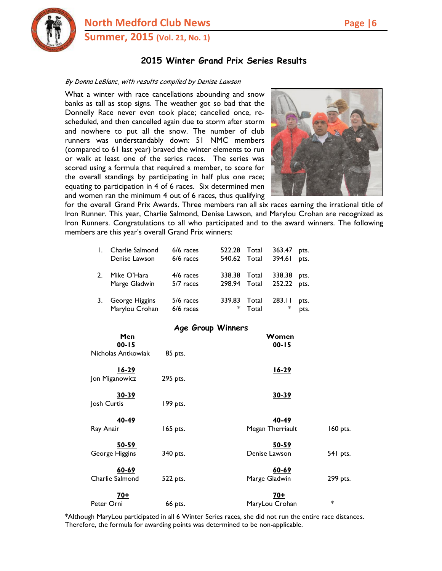

**North Medford Club News Page 16 Summer, 2015 (Vol. 21, No. 1)**

## **2015 Winter Grand Prix Series Results**

#### By Donna LeBlanc, with results compiled by Denise Lawson

What a winter with race cancellations abounding and snow banks as tall as stop signs. The weather got so bad that the Donnelly Race never even took place; cancelled once, rescheduled, and then cancelled again due to storm after storm and nowhere to put all the snow. The number of club runners was understandably down: 51 NMC members (compared to 61 last year) braved the winter elements to run or walk at least one of the series races. The series was scored using a formula that required a member, to score for the overall standings by participating in half plus one race; equating to participation in 4 of 6 races. Six determined men and women ran the minimum 4 out of 6 races, thus qualifying



for the overall Grand Prix Awards. Three members ran all six races earning the irrational title of Iron Runner. This year, Charlie Salmond, Denise Lawson, and Marylou Crohan are recognized as Iron Runners. Congratulations to all who participated and to the award winners. The following members are this year's overall Grand Prix winners:

|    | Charlie Salmond | $6/6$ races | 522.28 | Total | 363.47 | pts. |
|----|-----------------|-------------|--------|-------|--------|------|
|    | Denise Lawson   | 6/6 races   | 540.62 | Total | 394.61 | pts. |
|    | Mike O'Hara     | $4/6$ races | 338.38 | Total | 338.38 | pts. |
|    | Marge Gladwin   | 5/7 races   | 298.94 | Total | 252.22 | pts. |
| 3. | George Higgins  | 5/6 races   | 339.83 | Total | 283.11 | pts. |
|    | Marylou Crohan  | 6/6 races   | $\ast$ | Total | ∗      | pts. |

#### **Age Group Winners**

| Men<br>$00 - 15$               |          | Women<br>$00 - 15$                     |
|--------------------------------|----------|----------------------------------------|
| Nicholas Antkowiak             | 85 pts.  |                                        |
| $16-29$<br>Jon Miganowicz      | 295 pts. | $16 - 29$                              |
| 30-39<br>Josh Curtis           | 199 pts. | 30-39                                  |
| 40-49<br>Ray Anair             | 165 pts. | 40-49<br>Megan Therriault<br>160 pts.  |
| <u>50-59</u><br>George Higgins | 340 pts. | 50-59<br>Denise Lawson<br>541 pts.     |
| 60-69<br>Charlie Salmond       | 522 pts. | $60 - 69$<br>299 pts.<br>Marge Gladwin |
| $70+$<br>Peter Orni            | 66 pts.  | <u>70+</u><br>$\ast$<br>MaryLou Crohan |

\*Although MaryLou participated in all 6 Winter Series races, she did not run the entire race distances. Therefore, the formula for awarding points was determined to be non-applicable.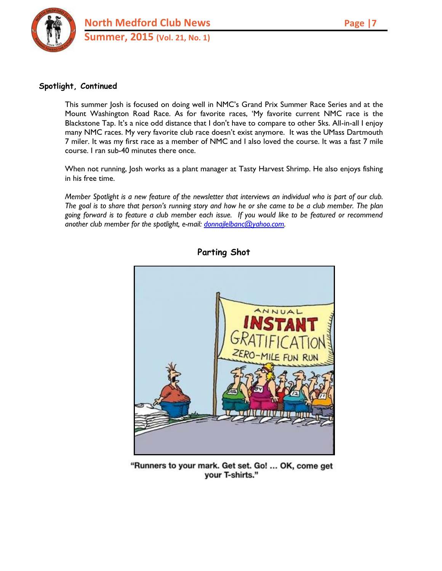

### **Spotlight, Continued**

This summer Josh is focused on doing well in NMC's Grand Prix Summer Race Series and at the Mount Washington Road Race. As for favorite races, 'My favorite current NMC race is the Blackstone Tap. It's a nice odd distance that I don't have to compare to other 5ks. All-in-all I enjoy many NMC races. My very favorite club race doesn't exist anymore. It was the UMass Dartmouth 7 miler. It was my first race as a member of NMC and I also loved the course. It was a fast 7 mile course. I ran sub-40 minutes there once.

When not running, Josh works as a plant manager at Tasty Harvest Shrimp. He also enjoys fishing in his free time.

*Member Spotlight is a new feature of the newsletter that interviews an individual who is part of our club. The goal is to share that person's running story and how he or she came to be a club member. The plan going forward is to feature a club member each issue. If you would like to be featured or recommend another club member for the spotlight, e-mail: [donnajlelbanc@yahoo.com.](mailto:donnajlelbanc@yahoo.com)*



**Parting Shot**

"Runners to your mark. Get set. Go! ... OK, come get your T-shirts."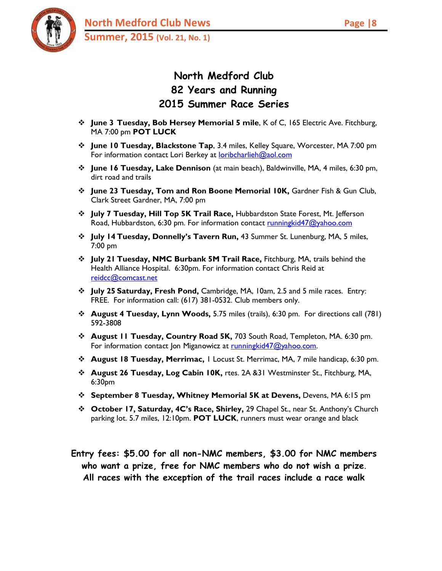# **North Medford Club 82 Years and Running 2015 Summer Race Series**

- **June 3 Tuesday, Bob Hersey Memorial 5 mile**, K of C, 165 Electric Ave. Fitchburg, MA 7:00 pm **POT LUCK**
- **June 10 Tuesday, Blackstone Tap**, 3.4 miles, Kelley Square, Worcester, MA 7:00 pm For information contact Lori Berkey at [loribcharlieh@aol.com](mailto:loribcharlieh@aol.com)
- **June 16 Tuesday, Lake Dennison** (at main beach), Baldwinville, MA, 4 miles, 6:30 pm, dirt road and trails
- **June 23 Tuesday, Tom and Ron Boone Memorial 10K,** Gardner Fish & Gun Club, Clark Street Gardner, MA, 7:00 pm
- **July 7 Tuesday, Hill Top 5K Trail Race,** Hubbardston State Forest, Mt. Jefferson Road, Hubbardston, 6:30 pm. For information contact [runningkid47@yahoo.com](mailto:runningkid47@yahoo.com)
- **July 14 Tuesday, Donnelly's Tavern Run,** 43 Summer St. Lunenburg, MA, 5 miles, 7:00 pm
- **July 21 Tuesday, NMC Burbank 5M Trail Race,** Fitchburg, MA, trails behind the Health Alliance Hospital. 6:30pm. For information contact Chris Reid at [reidcc@comcast.net](mailto:reidcc@comcast.net)
- **July 25 Saturday, Fresh Pond,** Cambridge, MA, 10am, 2.5 and 5 mile races. Entry: FREE. For information call: (617) 381-0532. Club members only.
- **August 4 Tuesday, Lynn Woods,** 5.75 miles (trails), 6:30 pm. For directions call (781) 592-3808
- **August 11 Tuesday, Country Road 5K,** 703 South Road, Templeton, MA. 6:30 pm. For information contact Ion Miganowicz at running kid $47@yahoo.com$ .
- **August 18 Tuesday, Merrimac,** 1 Locust St. Merrimac, MA, 7 mile handicap, 6:30 pm.
- **August 26 Tuesday, Log Cabin 10K,** rtes. 2A &31 Westminster St., Fitchburg, MA, 6:30pm
- **September 8 Tuesday, Whitney Memorial 5K at Devens,** Devens, MA 6:15 pm
- **October 17, Saturday, 4C's Race, Shirley,** 29 Chapel St., near St. Anthony's Church parking lot. 5.7 miles, 12:10pm. **POT LUCK**, runners must wear orange and black

**Entry fees: \$5.00 for all non-NMC members, \$3.00 for NMC members who want a prize, free for NMC members who do not wish a prize**. **All races with the exception of the trail races include a race walk**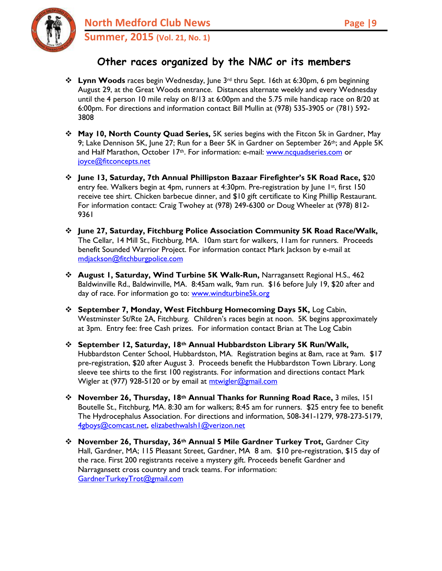# **Other races organized by the NMC or its members**

- **Lynn Woods** races begin Wednesday, June 3rd thru Sept. 16th at 6:30pm, 6 pm beginning August 29, at the Great Woods entrance. Distances alternate weekly and every Wednesday until the 4 person 10 mile relay on 8/13 at 6:00pm and the 5.75 mile handicap race on 8/20 at 6:00pm. For directions and information contact Bill Mullin at (978) 535-3905 or (781) 592- 3808
- **May 10, North County Quad Series,** 5K series begins with the Fitcon 5k in Gardner, May 9; Lake Dennison 5K, June 27; Run for a Beer 5K in Gardner on September 26<sup>th</sup>; and Apple 5K and Half Marathon, October 17<sup>th</sup>. For information: e-mail: [www.ncquadseries.com](http://www.ncquadseries.com/) or [joyce@fitconcepts.net](mailto:joyce@fitconcepts.net)
- **June 13, Saturday, 7th Annual Phillipston Bazaar Firefighter's 5K Road Race,** \$20 entry fee. Walkers begin at 4pm, runners at 4:30pm. Pre-registration by June 1st, first 150 receive tee shirt. Chicken barbecue dinner, and \$10 gift certificate to King Phillip Restaurant. For information contact: Craig Twohey at (978) 249-6300 or Doug Wheeler at (978) 812- 9361
- **June 27, Saturday, Fitchburg Police Association Community 5K Road Race/Walk,**  The Cellar, 14 Mill St., Fitchburg, MA. 10am start for walkers, 11am for runners. Proceeds benefit Sounded Warrior Project. For information contact Mark Jackson by e-mail at [mdjackson@fitchburgpolice.com](mailto:mdjackson1289@gmail.com)
- **August 1, Saturday, Wind Turbine 5K Walk-Run,** Narragansett Regional H.S., 462 Baldwinville Rd., Baldwinville, MA. 8:45am walk, 9am run. \$16 before July 19, \$20 after and day of race. For information go to: [www.windturbine5k.org](http://www.windturbine5k.org/)
- **September 7, Monday, West Fitchburg Homecoming Days 5K,** Log Cabin, Westminster St/Rte 2A, Fitchburg. Children's races begin at noon. 5K begins approximately at 3pm. Entry fee: free Cash prizes. For information contact Brian at The Log Cabin
- **September 12, Saturday, 18th Annual Hubbardston Library 5K Run/Walk,**  Hubbardston Center School, Hubbardston, MA. Registration begins at 8am, race at 9am. \$17 pre-registration, \$20 after August 3. Proceeds benefit the Hubbardston Town Library. Long sleeve tee shirts to the first 100 registrants. For information and directions contact Mark Wigler at (977) 928-5120 or by email at mtwigler@gmail.com
- **November 26, Thursday, 18th Annual Thanks for Running Road Race,** 3 miles, 151 Boutelle St., Fitchburg, MA. 8:30 am for walkers; 8:45 am for runners. \$25 entry fee to benefit The Hydrocephalus Association. For directions and information, 508-341-1279, 978-273-5179, [4gboys@comcast.net,](mailto:4gboys@comcast.net) [elizabethwalsh1@verizon.net](mailto:elizabethwalsh1@verizon.net)
- **November 26, Thursday, 36th Annual 5 Mile Gardner Turkey Trot,** Gardner City Hall, Gardner, MA; 115 Pleasant Street, Gardner, MA 8 am. \$10 pre-registration, \$15 day of the race. First 200 registrants receive a mystery gift. Proceeds benefit Gardner and Narragansett cross country and track teams. For information: [GardnerTurkeyTrot@gmail.com](mailto:michael.ohara8@verizon.net)